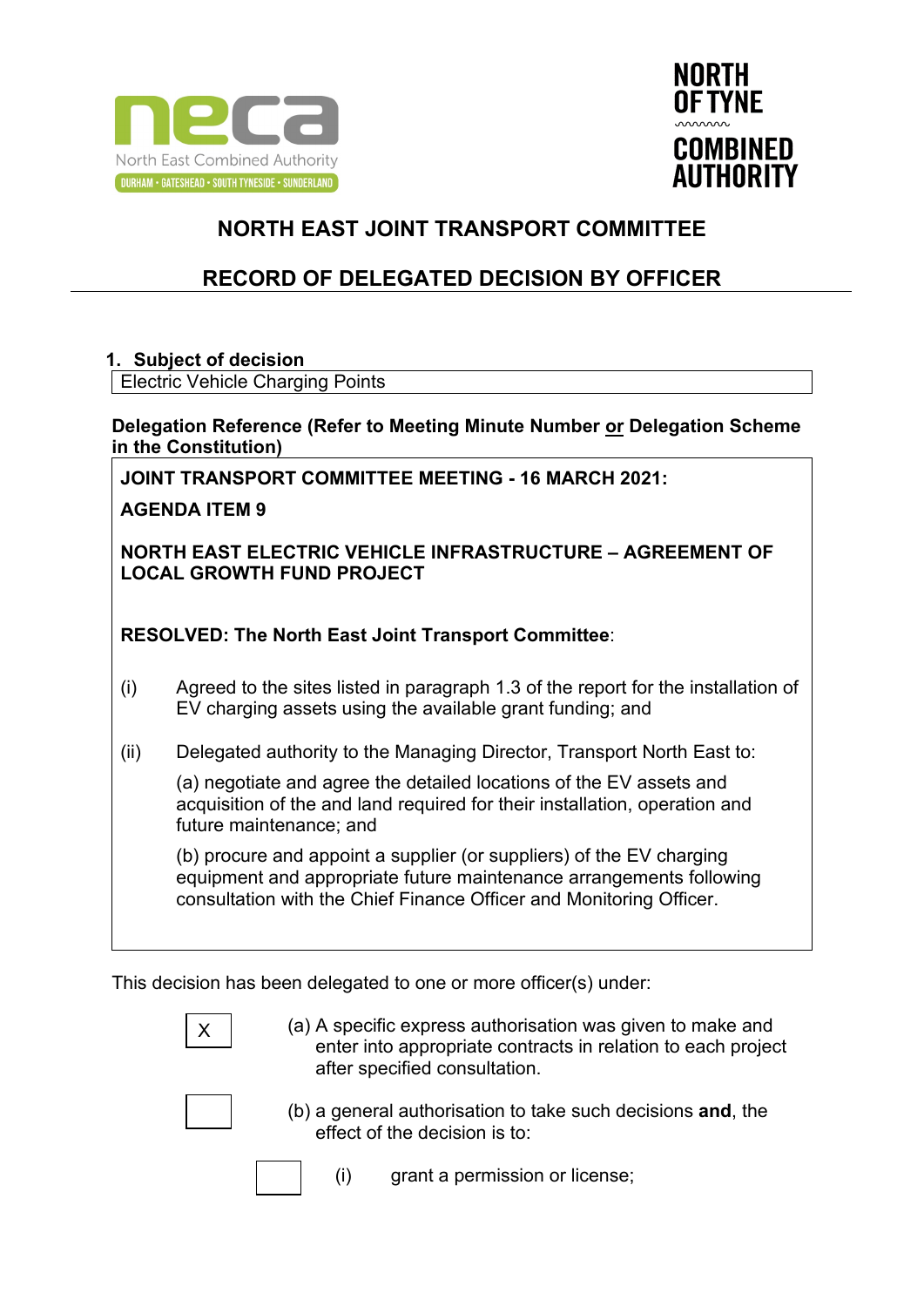



## **RECORD OF DELEGATED DECISION BY OFFICER**

#### **1. Subject of decision**

Electric Vehicle Charging Points

**Delegation Reference (Refer to Meeting Minute Number or Delegation Scheme in the Constitution)**

**JOINT TRANSPORT COMMITTEE MEETING - 16 MARCH 2021:** 

**AGENDA ITEM 9** 

**NORTH EAST ELECTRIC VEHICLE INFRASTRUCTURE – AGREEMENT OF LOCAL GROWTH FUND PROJECT**

**RESOLVED: The North East Joint Transport Committee**:

- (i) Agreed to the sites listed in paragraph 1.3 of the report for the installation of EV charging assets using the available grant funding; and
- (ii) Delegated authority to the Managing Director, Transport North East to:

(a) negotiate and agree the detailed locations of the EV assets and acquisition of the and land required for their installation, operation and future maintenance; and

(b) procure and appoint a supplier (or suppliers) of the EV charging equipment and appropriate future maintenance arrangements following consultation with the Chief Finance Officer and Monitoring Officer.

This decision has been delegated to one or more officer(s) under:

(a) A specific express authorisation was given to make and enter into appropriate contracts in relation to each project after specified consultation.



- (b) a general authorisation to take such decisions **and**, the effect of the decision is to:
	- (i) grant a permission or license;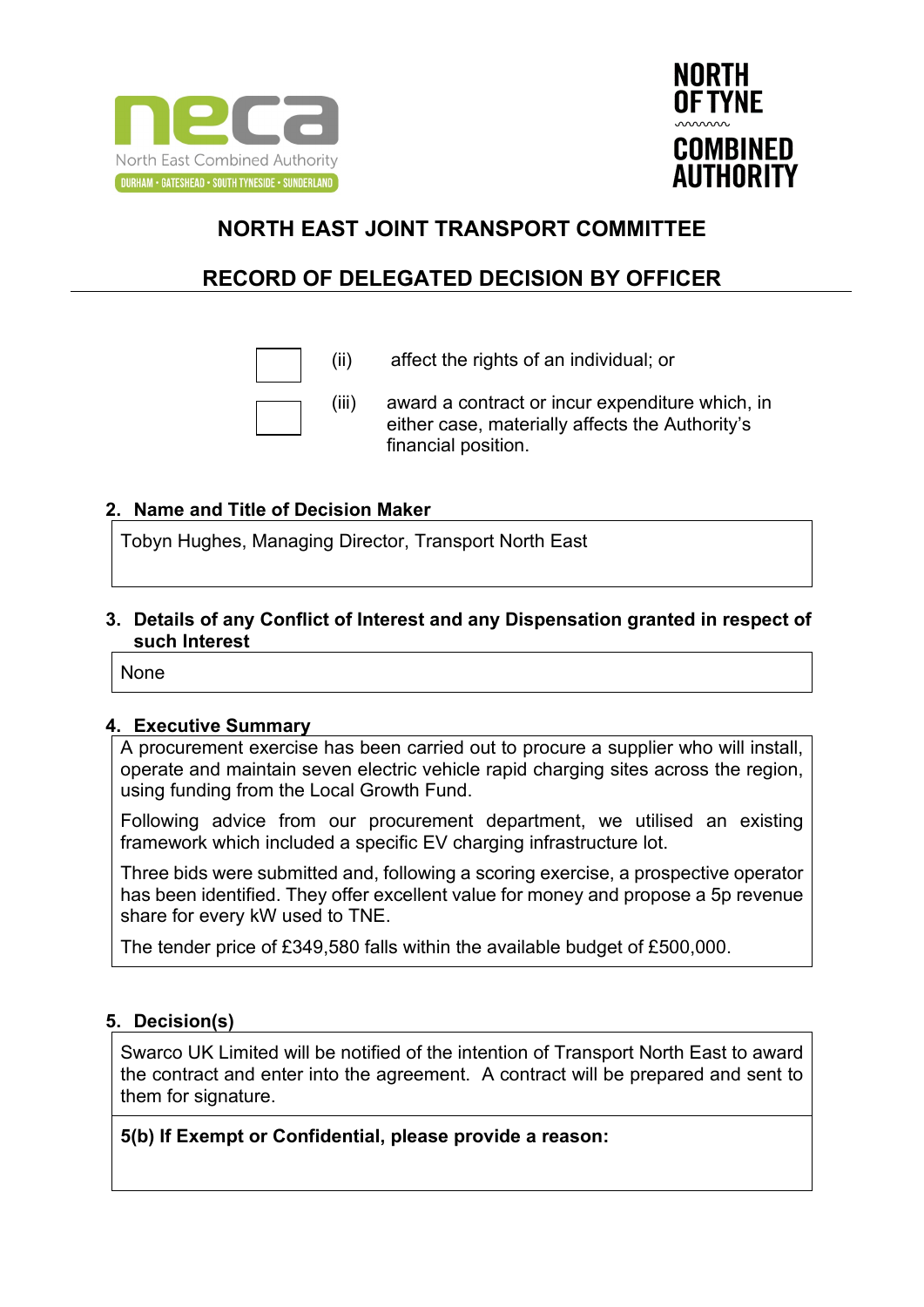



## **RECORD OF DELEGATED DECISION BY OFFICER**



(ii) affect the rights of an individual; or

(iii) award a contract or incur expenditure which, in either case, materially affects the Authority's financial position.

### **2. Name and Title of Decision Maker**

Tobyn Hughes, Managing Director, Transport North East

**3. Details of any Conflict of Interest and any Dispensation granted in respect of such Interest**

None

#### **4. Executive Summary**

A procurement exercise has been carried out to procure a supplier who will install, operate and maintain seven electric vehicle rapid charging sites across the region, using funding from the Local Growth Fund.

Following advice from our procurement department, we utilised an existing framework which included a specific EV charging infrastructure lot.

Three bids were submitted and, following a scoring exercise, a prospective operator has been identified. They offer excellent value for money and propose a 5p revenue share for every kW used to TNE.

The tender price of £349,580 falls within the available budget of £500,000.

#### **5. Decision(s)**

Swarco UK Limited will be notified of the intention of Transport North East to award the contract and enter into the agreement. A contract will be prepared and sent to them for signature.

**5(b) If Exempt or Confidential, please provide a reason:**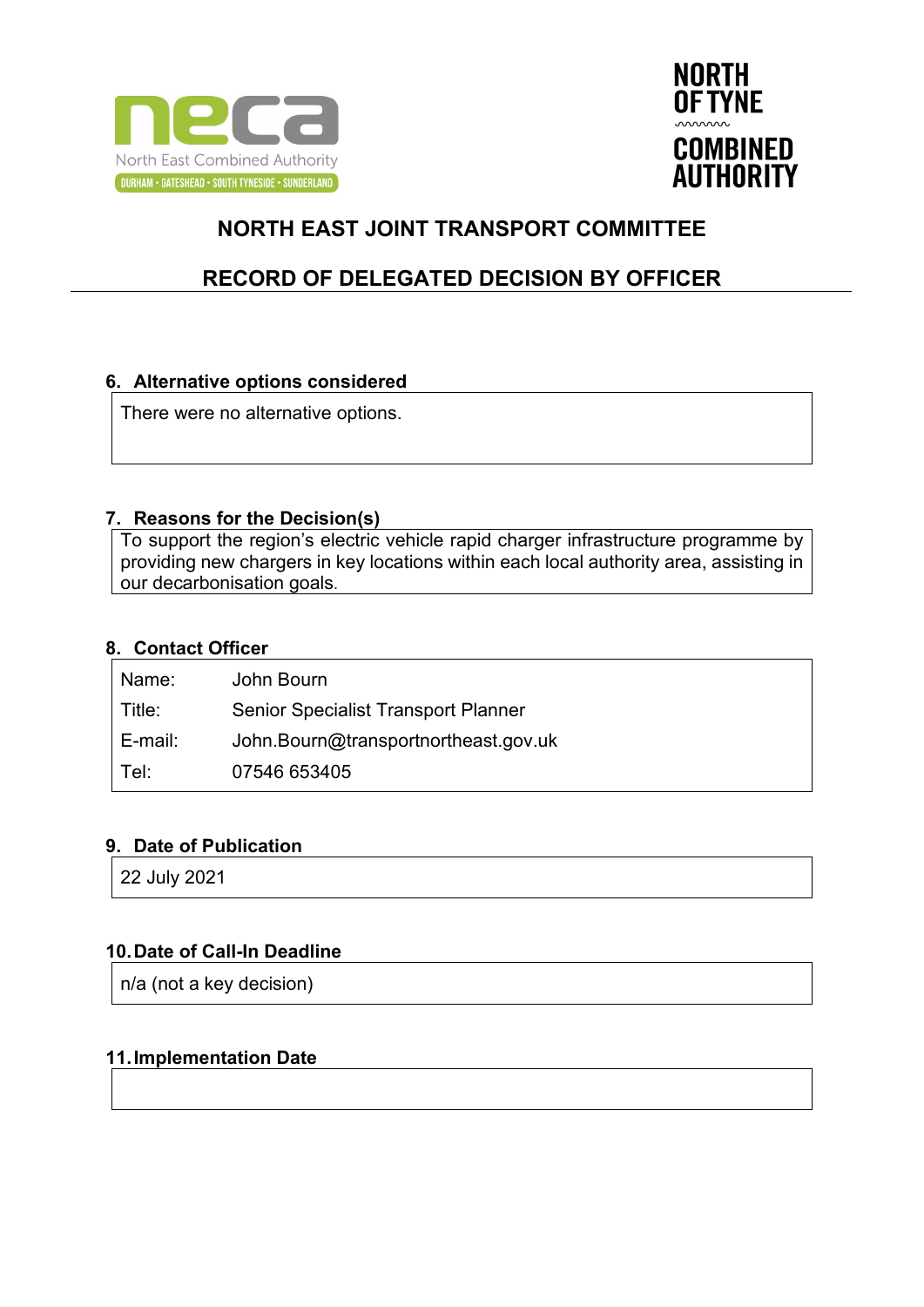



## **RECORD OF DELEGATED DECISION BY OFFICER**

### **6. Alternative options considered**

There were no alternative options.

#### **7. Reasons for the Decision(s)**

To support the region's electric vehicle rapid charger infrastructure programme by providing new chargers in key locations within each local authority area, assisting in our decarbonisation goals.

### **8. Contact Officer**

| Name:         | John Bourn                                 |
|---------------|--------------------------------------------|
| $\mid$ Title: | <b>Senior Specialist Transport Planner</b> |
| ∣ E-mail:     | John.Bourn@transportnortheast.gov.uk       |
| ∣ Tel:        | 07546 653405                               |

#### **9. Date of Publication**

22 July 2021

### **10.Date of Call-In Deadline**

n/a (not a key decision)

### **11.Implementation Date**